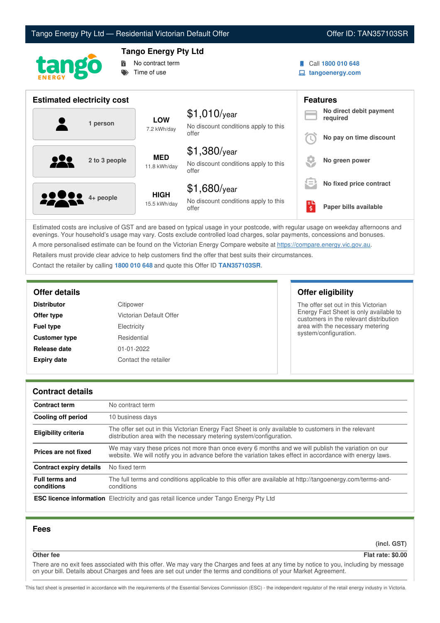



# **Tango Energy Pty Ltd**

No contract term Time of use

Call **1800 010 648**

**tangoenergy.com**

| <b>Estimated electricity cost</b> |                             |                                                                 |                                    | <b>Features</b>                     |
|-----------------------------------|-----------------------------|-----------------------------------------------------------------|------------------------------------|-------------------------------------|
| 1 person                          | <b>LOW</b><br>7.2 kWh/day   | $$1,010$ /year<br>No discount conditions apply to this          |                                    | No direct debit payment<br>required |
|                                   |                             | offer                                                           |                                    | No pay on time discount             |
| 2 to 3 people                     | <b>MED</b><br>11.8 kWh/day  | $$1,380$ /year<br>No discount conditions apply to this<br>offer |                                    | No green power                      |
|                                   |                             | $$1,680$ /year                                                  | $\overline{\phantom{a}}$<br>$\sim$ | No fixed price contract             |
| <b>00000</b> 4+ people            | <b>HIGH</b><br>15.5 kWh/day | No discount conditions apply to this<br>offer                   | $\overline{\boldsymbol{\xi}}$      | Paper bills available               |

Estimated costs are inclusive of GST and are based on typical usage in your postcode, with regular usage on weekday afternoons and evenings. Your household's usage may vary. Costs exclude controlled load charges, solar payments, concessions and bonuses. A more personalised estimate can be found on the Victorian Energy Compare website at <https://compare.energy.vic.gov.au>.

Retailers must provide clear advice to help customers find the offer that best suits their circumstances.

Contact the retailer by calling **1800 010 648** and quote this Offer ID **TAN357103SR**.

| <b>Distributor</b>   | Citipower               |  |
|----------------------|-------------------------|--|
| Offer type           | Victorian Default Offer |  |
| <b>Fuel type</b>     | Electricity             |  |
| <b>Customer type</b> | Residential             |  |
| Release date         | $01 - 01 - 2022$        |  |
| <b>Expiry date</b>   | Contact the retailer    |  |

## **Offer details Offer eligibility**

The offer set out in this Victorian Energy Fact Sheet is only available to customers in the relevant distribution area with the necessary metering system/configuration.

## **Contract details**

| <b>Contract term</b>                | No contract term                                                                                                                                                                                                |  |  |
|-------------------------------------|-----------------------------------------------------------------------------------------------------------------------------------------------------------------------------------------------------------------|--|--|
| Cooling off period                  | 10 business days                                                                                                                                                                                                |  |  |
| <b>Eligibility criteria</b>         | The offer set out in this Victorian Energy Fact Sheet is only available to customers in the relevant<br>distribution area with the necessary metering system/configuration.                                     |  |  |
| Prices are not fixed                | We may vary these prices not more than once every 6 months and we will publish the variation on our<br>website. We will notify you in advance before the variation takes effect in accordance with energy laws. |  |  |
| <b>Contract expiry details</b>      | No fixed term                                                                                                                                                                                                   |  |  |
| <b>Full terms and</b><br>conditions | The full terms and conditions applicable to this offer are available at http://tangoenergy.com/terms-and-<br>conditions                                                                                         |  |  |
|                                     | <b>ESC licence information</b> Electricity and gas retail licence under Tango Energy Pty Ltd                                                                                                                    |  |  |

## **Fees**

**(incl. GST)**

## **Other fee Flat rate: \$0.00**

There are no exit fees associated with this offer. We may vary the Charges and fees at any time by notice to you, including by message on your bill. Details about Charges and fees are set out under the terms and conditions of your Market Agreement.

This fact sheet is presented in accordance with the requirements of the Essential Services Commission (ESC) - the independent regulator of the retail energy industry in Victoria.